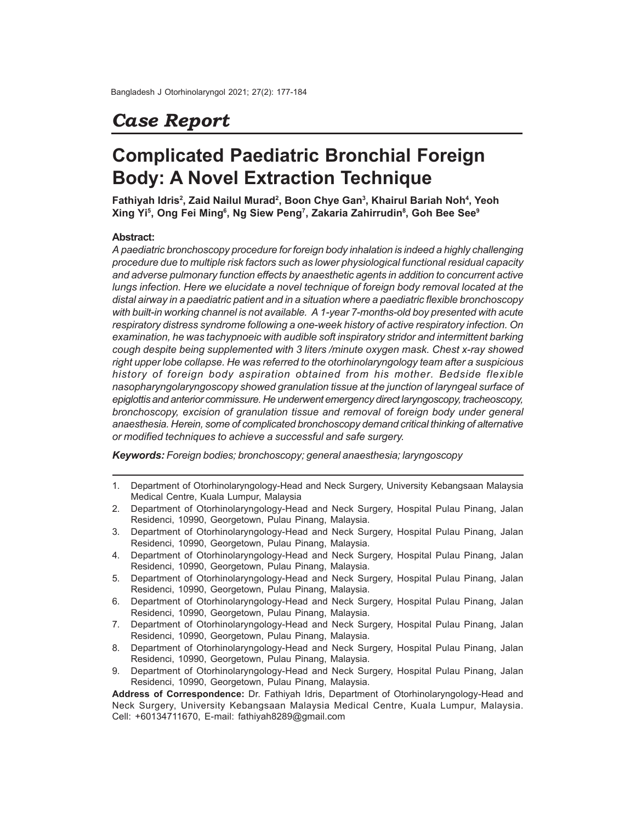# *Case Report*

# **Complicated Paediatric Bronchial Foreign Body: A Novel Extraction Technique**

**Fathiyah Idris<sup>2</sup> , Zaid Nailul Murad<sup>2</sup> , Boon Chye Gan<sup>3</sup> , Khairul Bariah Noh<sup>4</sup> , Yeoh Xing Yi<sup>5</sup> , Ong Fei Ming<sup>6</sup> , Ng Siew Peng<sup>7</sup> , Zakaria Zahirrudin<sup>8</sup> , Goh Bee See<sup>9</sup>**

## **Abstract:**

*A paediatric bronchoscopy procedure for foreign body inhalation is indeed a highly challenging procedure due to multiple risk factors such as lower physiological functional residual capacity and adverse pulmonary function effects by anaesthetic agents in addition to concurrent active lungs infection. Here we elucidate a novel technique of foreign body removal located at the distal airway in a paediatric patient and in a situation where a paediatric flexible bronchoscopy with built-in working channel is not available. A 1-year 7-months-old boy presented with acute respiratory distress syndrome following a one-week history of active respiratory infection. On examination, he was tachypnoeic with audible soft inspiratory stridor and intermittent barking cough despite being supplemented with 3 liters /minute oxygen mask. Chest x-ray showed right upper lobe collapse. He was referred to the otorhinolaryngology team after a suspicious history of foreign body aspiration obtained from his mother. Bedside flexible nasopharyngolaryngoscopy showed granulation tissue at the junction of laryngeal surface of epiglottis and anterior commissure. He underwent emergency direct laryngoscopy, tracheoscopy, bronchoscopy, excision of granulation tissue and removal of foreign body under general anaesthesia. Herein, some of complicated bronchoscopy demand critical thinking of alternative or modified techniques to achieve a successful and safe surgery.*

*Keywords: Foreign bodies; bronchoscopy; general anaesthesia; laryngoscopy*

1. Department of Otorhinolaryngology-Head and Neck Surgery, University Kebangsaan Malaysia Medical Centre, Kuala Lumpur, Malaysia

- 3. Department of Otorhinolaryngology-Head and Neck Surgery, Hospital Pulau Pinang, Jalan Residenci, 10990, Georgetown, Pulau Pinang, Malaysia.
- 4. Department of Otorhinolaryngology-Head and Neck Surgery, Hospital Pulau Pinang, Jalan Residenci, 10990, Georgetown, Pulau Pinang, Malaysia.
- 5. Department of Otorhinolaryngology-Head and Neck Surgery, Hospital Pulau Pinang, Jalan Residenci, 10990, Georgetown, Pulau Pinang, Malaysia.
- 6. Department of Otorhinolaryngology-Head and Neck Surgery, Hospital Pulau Pinang, Jalan Residenci, 10990, Georgetown, Pulau Pinang, Malaysia.
- 7. Department of Otorhinolaryngology-Head and Neck Surgery, Hospital Pulau Pinang, Jalan Residenci, 10990, Georgetown, Pulau Pinang, Malaysia.
- 8. Department of Otorhinolaryngology-Head and Neck Surgery, Hospital Pulau Pinang, Jalan Residenci, 10990, Georgetown, Pulau Pinang, Malaysia.
- 9. Department of Otorhinolaryngology-Head and Neck Surgery, Hospital Pulau Pinang, Jalan Residenci, 10990, Georgetown, Pulau Pinang, Malaysia.

**Address of Correspondence:** Dr. Fathiyah Idris, Department of Otorhinolaryngology-Head and Neck Surgery, University Kebangsaan Malaysia Medical Centre, Kuala Lumpur, Malaysia. Cell: +60134711670, E-mail: fathiyah8289@gmail.com

<sup>2.</sup> Department of Otorhinolaryngology-Head and Neck Surgery, Hospital Pulau Pinang, Jalan Residenci, 10990, Georgetown, Pulau Pinang, Malaysia.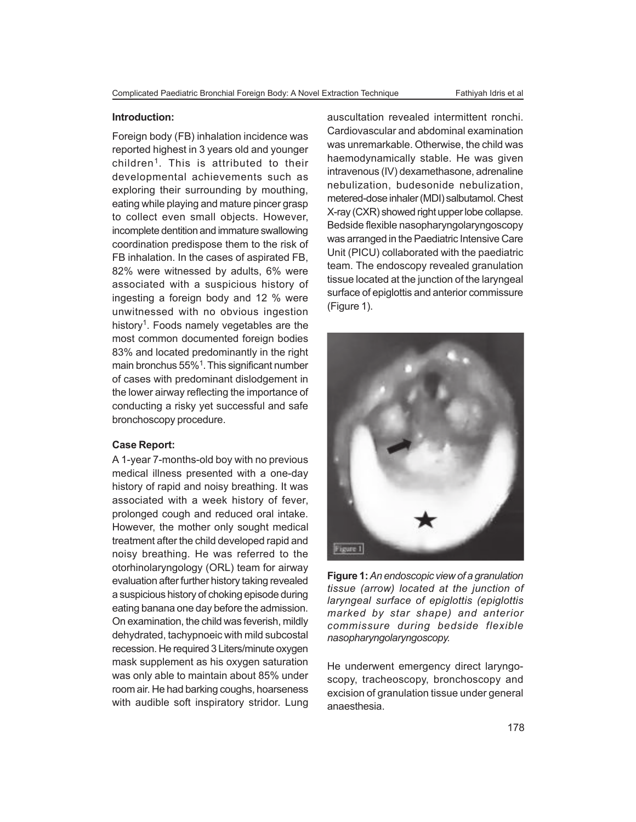#### **Introduction:**

Foreign body (FB) inhalation incidence was reported highest in 3 years old and younger children<sup>1</sup>. This is attributed to their developmental achievements such as exploring their surrounding by mouthing, eating while playing and mature pincer grasp to collect even small objects. However, incomplete dentition and immature swallowing coordination predispose them to the risk of FB inhalation. In the cases of aspirated FB, 82% were witnessed by adults, 6% were associated with a suspicious history of ingesting a foreign body and 12 % were unwitnessed with no obvious ingestion history<sup>1</sup>. Foods namely vegetables are the most common documented foreign bodies 83% and located predominantly in the right main bronchus 55%<sup>1</sup>. This significant number of cases with predominant dislodgement in the lower airway reflecting the importance of conducting a risky yet successful and safe bronchoscopy procedure.

### **Case Report:**

A 1-year 7-months-old boy with no previous medical illness presented with a one-day history of rapid and noisy breathing. It was associated with a week history of fever, prolonged cough and reduced oral intake. However, the mother only sought medical treatment after the child developed rapid and noisy breathing. He was referred to the otorhinolaryngology (ORL) team for airway evaluation after further history taking revealed a suspicious history of choking episode during eating banana one day before the admission. On examination, the child was feverish, mildly dehydrated, tachypnoeic with mild subcostal recession. He required 3 Liters/minute oxygen mask supplement as his oxygen saturation was only able to maintain about 85% under room air. He had barking coughs, hoarseness with audible soft inspiratory stridor. Lung auscultation revealed intermittent ronchi. Cardiovascular and abdominal examination was unremarkable. Otherwise, the child was haemodynamically stable. He was given intravenous (IV) dexamethasone, adrenaline nebulization, budesonide nebulization, metered-dose inhaler (MDI) salbutamol. Chest X-ray (CXR) showed right upper lobe collapse. Bedside flexible nasopharyngolaryngoscopy was arranged in the Paediatric Intensive Care Unit (PICU) collaborated with the paediatric team. The endoscopy revealed granulation tissue located at the junction of the laryngeal surface of epiglottis and anterior commissure (Figure 1).



**Figure 1:** *An endoscopic view of a granulation tissue (arrow) located at the junction of laryngeal surface of epiglottis (epiglottis marked by star shape) and anterior commissure during bedside flexible nasopharyngolaryngoscopy.*

He underwent emergency direct laryngoscopy, tracheoscopy, bronchoscopy and excision of granulation tissue under general anaesthesia.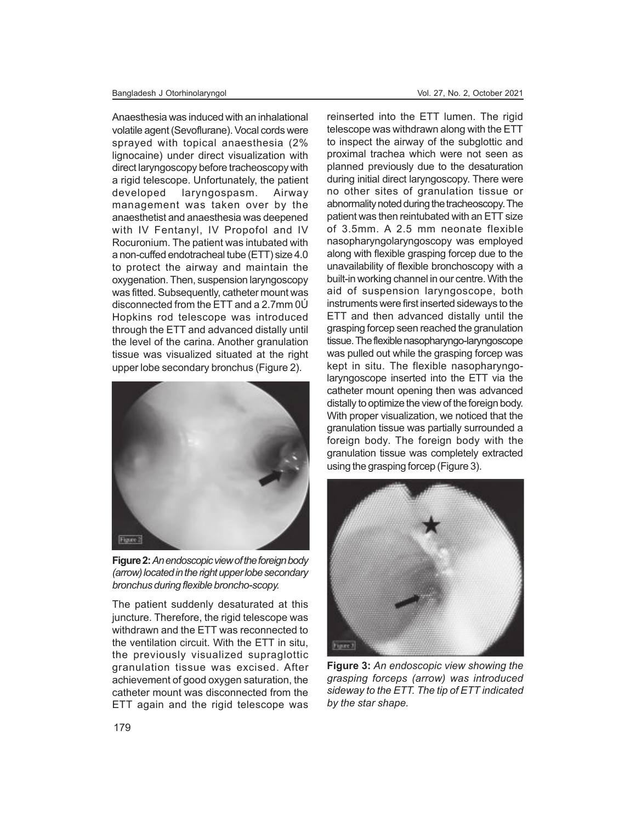Anaesthesia was induced with an inhalational volatile agent (Sevoflurane). Vocal cords were sprayed with topical anaesthesia (2% lignocaine) under direct visualization with direct laryngoscopy before tracheoscopy with a rigid telescope. Unfortunately, the patient developed laryngospasm. Airway management was taken over by the anaesthetist and anaesthesia was deepened with IV Fentanyl, IV Propofol and IV Rocuronium. The patient was intubated with a non-cuffed endotracheal tube (ETT) size 4.0 to protect the airway and maintain the oxygenation. Then, suspension laryngoscopy was fitted. Subsequently, catheter mount was disconnected from the ETT and a 2.7mm 0Ú Hopkins rod telescope was introduced through the ETT and advanced distally until the level of the carina. Another granulation tissue was visualized situated at the right upper lobe secondary bronchus (Figure 2).



**Figure 2:** *An endoscopic view of the foreign body (arrow) located in the right upper lobe secondary bronchus during flexible broncho-scopy.*

The patient suddenly desaturated at this juncture. Therefore, the rigid telescope was withdrawn and the ETT was reconnected to the ventilation circuit. With the ETT in situ, the previously visualized supraglottic granulation tissue was excised. After achievement of good oxygen saturation, the catheter mount was disconnected from the ETT again and the rigid telescope was

reinserted into the ETT lumen. The rigid telescope was withdrawn along with the ETT to inspect the airway of the subglottic and proximal trachea which were not seen as planned previously due to the desaturation during initial direct laryngoscopy. There were no other sites of granulation tissue or abnormality noted during the tracheoscopy. The patient was then reintubated with an ETT size of 3.5mm. A 2.5 mm neonate flexible nasopharyngolaryngoscopy was employed along with flexible grasping forcep due to the unavailability of flexible bronchoscopy with a built-in working channel in our centre. With the aid of suspension laryngoscope, both instruments were first inserted sideways to the ETT and then advanced distally until the grasping forcep seen reached the granulation tissue. The flexible nasopharyngo-laryngoscope was pulled out while the grasping forcep was kept in situ. The flexible nasopharyngolaryngoscope inserted into the ETT via the catheter mount opening then was advanced distally to optimize the view of the foreign body. With proper visualization, we noticed that the granulation tissue was partially surrounded a foreign body. The foreign body with the granulation tissue was completely extracted using the grasping forcep (Figure 3).



**Figure 3:** *An endoscopic view showing the grasping forceps (arrow) was introduced sideway to the ETT. The tip of ETT indicated by the star shape.*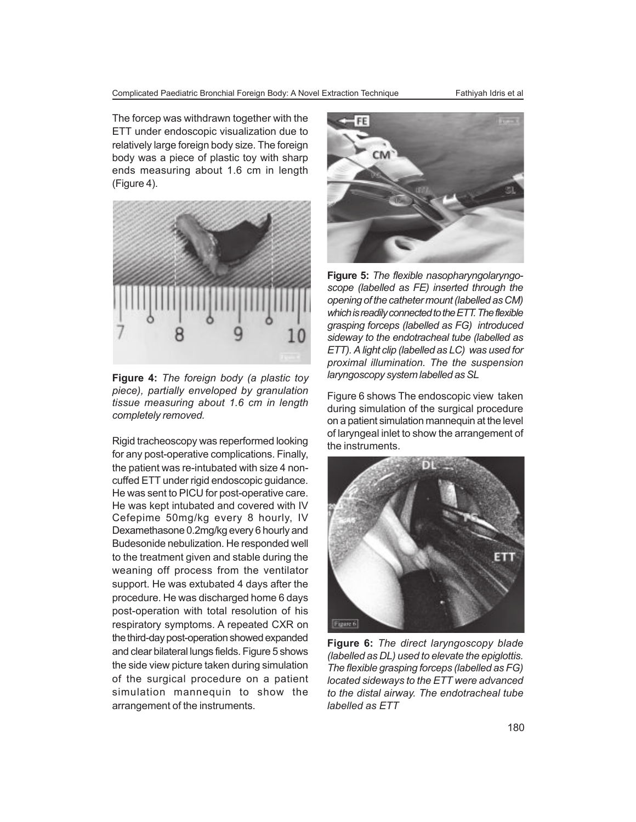Complicated Paediatric Bronchial Foreign Body: A Novel Extraction Technique Fathiyah Idris et al

The forcep was withdrawn together with the ETT under endoscopic visualization due to relatively large foreign body size. The foreign body was a piece of plastic toy with sharp ends measuring about 1.6 cm in length (Figure 4).



**Figure 4:** *The foreign body (a plastic toy piece), partially enveloped by granulation tissue measuring about 1.6 cm in length completely removed.*

Rigid tracheoscopy was reperformed looking for any post-operative complications. Finally, the patient was re-intubated with size 4 noncuffed ETT under rigid endoscopic guidance. He was sent to PICU for post-operative care. He was kept intubated and covered with IV Cefepime 50mg/kg every 8 hourly, IV Dexamethasone 0.2mg/kg every 6 hourly and Budesonide nebulization. He responded well to the treatment given and stable during the weaning off process from the ventilator support. He was extubated 4 days after the procedure. He was discharged home 6 days post-operation with total resolution of his respiratory symptoms. A repeated CXR on the third-day post-operation showed expanded and clear bilateral lungs fields. Figure 5 shows the side view picture taken during simulation of the surgical procedure on a patient simulation mannequin to show the arrangement of the instruments.



**Figure 5:** *The flexible nasopharyngolaryngoscope (labelled as FE) inserted through the opening of the catheter mount (labelled as CM) which is readily connected to the ETT. The flexible grasping forceps (labelled as FG) introduced sideway to the endotracheal tube (labelled as ETT). A light clip (labelled as LC) was used for proximal illumination. The the suspension laryngoscopy system labelled as SL*

Figure 6 shows The endoscopic view taken during simulation of the surgical procedure on a patient simulation mannequin at the level of laryngeal inlet to show the arrangement of the instruments.



**Figure 6:** *The direct laryngoscopy blade (labelled as DL) used to elevate the epiglottis. The flexible grasping forceps (labelled as FG) located sideways to the ETT were advanced to the distal airway. The endotracheal tube labelled as ETT*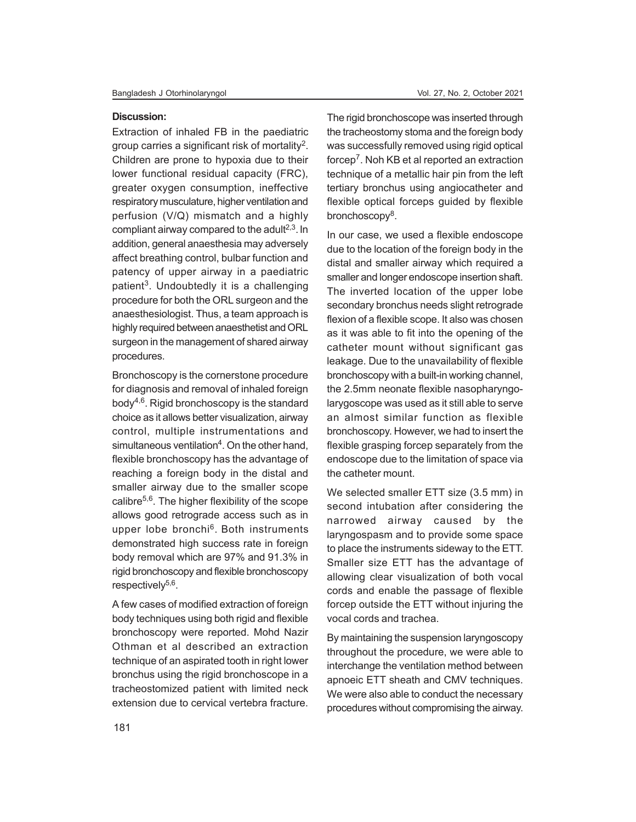#### **Discussion:**

Extraction of inhaled FB in the paediatric group carries a significant risk of mortality<sup>2</sup>. Children are prone to hypoxia due to their lower functional residual capacity (FRC), greater oxygen consumption, ineffective respiratory musculature, higher ventilation and perfusion (V/Q) mismatch and a highly compliant airway compared to the adult $2,3$ . In addition, general anaesthesia may adversely affect breathing control, bulbar function and patency of upper airway in a paediatric patient<sup>3</sup>. Undoubtedly it is a challenging procedure for both the ORL surgeon and the anaesthesiologist. Thus, a team approach is highly required between anaesthetist and ORL surgeon in the management of shared airway procedures.

Bronchoscopy is the cornerstone procedure for diagnosis and removal of inhaled foreign body $4,6$ . Rigid bronchoscopy is the standard choice as it allows better visualization, airway control, multiple instrumentations and simultaneous ventilation<sup>4</sup>. On the other hand, flexible bronchoscopy has the advantage of reaching a foreign body in the distal and smaller airway due to the smaller scope calibre<sup>5,6</sup>. The higher flexibility of the scope allows good retrograde access such as in upper lobe bronchi<sup>6</sup>. Both instruments demonstrated high success rate in foreign body removal which are 97% and 91.3% in rigid bronchoscopy and flexible bronchoscopy respectively<sup>5,6</sup>.

A few cases of modified extraction of foreign body techniques using both rigid and flexible bronchoscopy were reported. Mohd Nazir Othman et al described an extraction technique of an aspirated tooth in right lower bronchus using the rigid bronchoscope in a tracheostomized patient with limited neck extension due to cervical vertebra fracture.

The rigid bronchoscope was inserted through the tracheostomy stoma and the foreign body was successfully removed using rigid optical forcep<sup>7</sup> . Noh KB et al reported an extraction technique of a metallic hair pin from the left tertiary bronchus using angiocatheter and flexible optical forceps guided by flexible bronchoscopy<sup>8</sup>.

In our case, we used a flexible endoscope due to the location of the foreign body in the distal and smaller airway which required a smaller and longer endoscope insertion shaft. The inverted location of the upper lobe secondary bronchus needs slight retrograde flexion of a flexible scope. It also was chosen as it was able to fit into the opening of the catheter mount without significant gas leakage. Due to the unavailability of flexible bronchoscopy with a built-in working channel, the 2.5mm neonate flexible nasopharyngolarygoscope was used as it still able to serve an almost similar function as flexible bronchoscopy. However, we had to insert the flexible grasping forcep separately from the endoscope due to the limitation of space via the catheter mount.

We selected smaller ETT size (3.5 mm) in second intubation after considering the narrowed airway caused by the laryngospasm and to provide some space to place the instruments sideway to the ETT. Smaller size ETT has the advantage of allowing clear visualization of both vocal cords and enable the passage of flexible forcep outside the ETT without injuring the vocal cords and trachea.

By maintaining the suspension laryngoscopy throughout the procedure, we were able to interchange the ventilation method between apnoeic ETT sheath and CMV techniques. We were also able to conduct the necessary procedures without compromising the airway.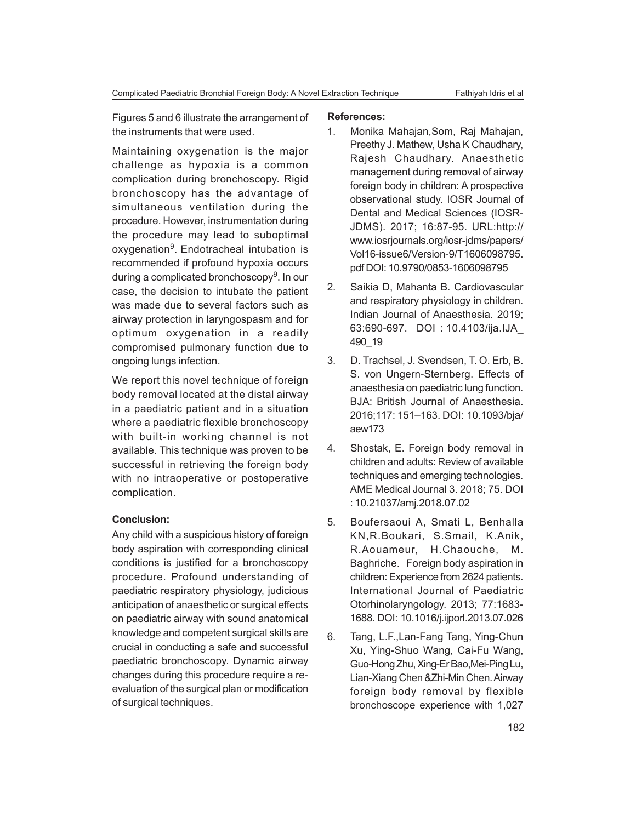Figures 5 and 6 illustrate the arrangement of the instruments that were used.

Maintaining oxygenation is the major challenge as hypoxia is a common complication during bronchoscopy. Rigid bronchoscopy has the advantage of simultaneous ventilation during the procedure. However, instrumentation during the procedure may lead to suboptimal oxygenation<sup>9</sup>. Endotracheal intubation is recommended if profound hypoxia occurs during a complicated bronchoscopy<sup>9</sup>. In our case, the decision to intubate the patient was made due to several factors such as airway protection in laryngospasm and for optimum oxygenation in a readily compromised pulmonary function due to ongoing lungs infection.

We report this novel technique of foreign body removal located at the distal airway in a paediatric patient and in a situation where a paediatric flexible bronchoscopy with built-in working channel is not available. This technique was proven to be successful in retrieving the foreign body with no intraoperative or postoperative complication.

## **Conclusion:**

Any child with a suspicious history of foreign body aspiration with corresponding clinical conditions is justified for a bronchoscopy procedure. Profound understanding of paediatric respiratory physiology, judicious anticipation of anaesthetic or surgical effects on paediatric airway with sound anatomical knowledge and competent surgical skills are crucial in conducting a safe and successful paediatric bronchoscopy. Dynamic airway changes during this procedure require a reevaluation of the surgical plan or modification of surgical techniques.

### **References:**

- 1. Monika Mahajan,Som, Raj Mahajan, Preethy J. Mathew, Usha K Chaudhary, Rajesh Chaudhary. Anaesthetic management during removal of airway foreign body in children: A prospective observational study. IOSR Journal of Dental and Medical Sciences (IOSR-JDMS). 2017; 16:87-95. URL:http:// www.iosrjournals.org/iosr-jdms/papers/ Vol16-issue6/Version-9/T1606098795. pdf DOI: 10.9790/0853-1606098795
- 2. Saikia D, Mahanta B. Cardiovascular and respiratory physiology in children. Indian Journal of Anaesthesia. 2019; 63:690-697. DOI : 10.4103/ija.IJA\_ 490\_19
- 3. D. Trachsel, J. Svendsen, T. O. Erb, B. S. von Ungern-Sternberg. Effects of anaesthesia on paediatric lung function. BJA: British Journal of Anaesthesia. 2016;117: 151–163. DOI: 10.1093/bja/ aew173
- 4. Shostak, E. Foreign body removal in children and adults: Review of available techniques and emerging technologies. AME Medical Journal 3. 2018; 75. DOI : 10.21037/amj.2018.07.02
- 5. Boufersaoui A, Smati L, Benhalla KN,R.Boukari, S.Smail, K.Anik, R.Aouameur, H.Chaouche, M. Baghriche. Foreign body aspiration in children: Experience from 2624 patients. International Journal of Paediatric Otorhinolaryngology. 2013; 77:1683- 1688. DOI: 10.1016/j.ijporl.2013.07.026
- 6. Tang, L.F.,Lan-Fang Tang, Ying-Chun Xu, Ying-Shuo Wang, Cai-Fu Wang, Guo-Hong Zhu, Xing-Er Bao,Mei-Ping Lu, Lian-Xiang Chen &Zhi-Min Chen. Airway foreign body removal by flexible bronchoscope experience with 1,027